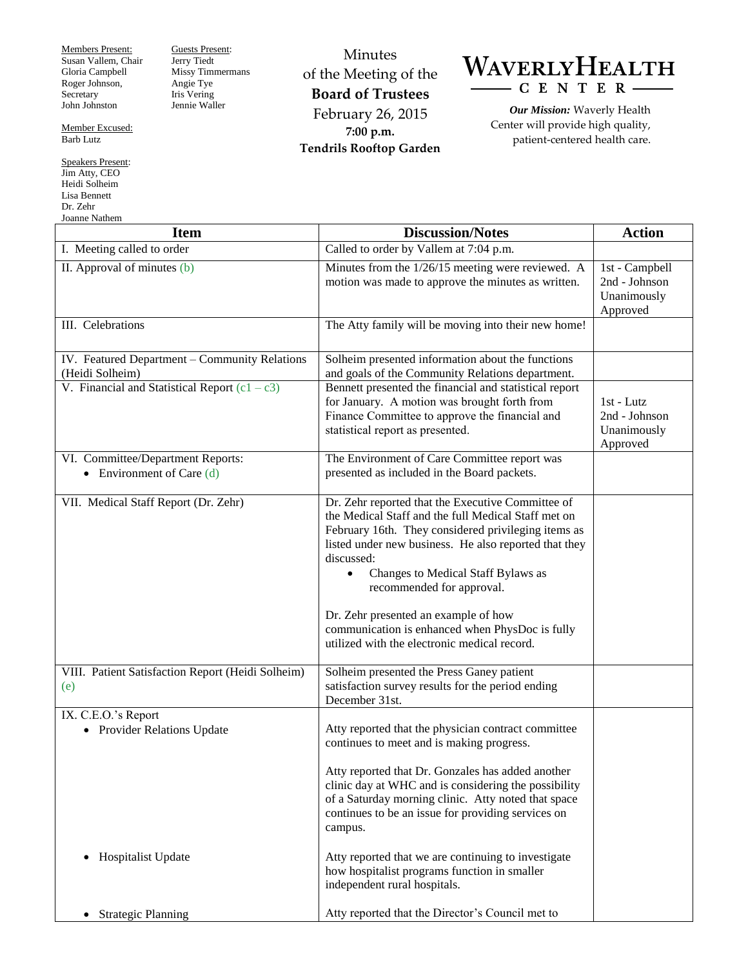Members Present: Susan Vallem, Chair Gloria Campbell Roger Johnson, Secretary John Johnston

Member Excused:

Guests Present: Jerry Tiedt Missy Timmermans Angie Tye Iris Vering Jennie Waller

Barb Lutz

Speakers Present: Jim Atty, CEO Heidi Solheim Lisa Bennett Dr. Zehr  $\overline{\text{N}}_{\text{of}}$ 

Minutes of the Meeting of the **Board of Trustees** February 26, 2015 **7:00 p.m. Tendrils Rooftop Garden**

## WAVERLYHEALTH  $-C E N T E R$

*Our Mission:* Waverly Health Center will provide high quality, patient-centered health care.

| лоание гуашени<br><b>Item</b>                                    | <b>Discussion/Notes</b>                                                                                                                                                                                                                                                                                                                                                                                                                                           | <b>Action</b>                                              |
|------------------------------------------------------------------|-------------------------------------------------------------------------------------------------------------------------------------------------------------------------------------------------------------------------------------------------------------------------------------------------------------------------------------------------------------------------------------------------------------------------------------------------------------------|------------------------------------------------------------|
| I. Meeting called to order                                       | Called to order by Vallem at 7:04 p.m.                                                                                                                                                                                                                                                                                                                                                                                                                            |                                                            |
| II. Approval of minutes (b)                                      | Minutes from the 1/26/15 meeting were reviewed. A<br>motion was made to approve the minutes as written.                                                                                                                                                                                                                                                                                                                                                           | 1st - Campbell<br>2nd - Johnson<br>Unanimously<br>Approved |
| III. Celebrations                                                | The Atty family will be moving into their new home!                                                                                                                                                                                                                                                                                                                                                                                                               |                                                            |
| IV. Featured Department - Community Relations<br>(Heidi Solheim) | Solheim presented information about the functions<br>and goals of the Community Relations department.                                                                                                                                                                                                                                                                                                                                                             |                                                            |
| V. Financial and Statistical Report $(c1 - c3)$                  | Bennett presented the financial and statistical report<br>for January. A motion was brought forth from<br>Finance Committee to approve the financial and<br>statistical report as presented.                                                                                                                                                                                                                                                                      | 1st - Lutz<br>2nd - Johnson<br>Unanimously<br>Approved     |
| VI. Committee/Department Reports:<br>• Environment of Care $(d)$ | The Environment of Care Committee report was<br>presented as included in the Board packets.                                                                                                                                                                                                                                                                                                                                                                       |                                                            |
| VII. Medical Staff Report (Dr. Zehr)                             | Dr. Zehr reported that the Executive Committee of<br>the Medical Staff and the full Medical Staff met on<br>February 16th. They considered privileging items as<br>listed under new business. He also reported that they<br>discussed:<br>Changes to Medical Staff Bylaws as<br>$\bullet$<br>recommended for approval.<br>Dr. Zehr presented an example of how<br>communication is enhanced when PhysDoc is fully<br>utilized with the electronic medical record. |                                                            |
| VIII. Patient Satisfaction Report (Heidi Solheim)<br>(e)         | Solheim presented the Press Ganey patient<br>satisfaction survey results for the period ending<br>December 31st.                                                                                                                                                                                                                                                                                                                                                  |                                                            |
| IX. C.E.O.'s Report<br>• Provider Relations Update               | Atty reported that the physician contract committee<br>continues to meet and is making progress.<br>Atty reported that Dr. Gonzales has added another<br>clinic day at WHC and is considering the possibility<br>of a Saturday morning clinic. Atty noted that space<br>continues to be an issue for providing services on<br>campus.                                                                                                                             |                                                            |
| Hospitalist Update<br>$\bullet$                                  | Atty reported that we are continuing to investigate<br>how hospitalist programs function in smaller<br>independent rural hospitals.                                                                                                                                                                                                                                                                                                                               |                                                            |
| • Strategic Planning                                             | Atty reported that the Director's Council met to                                                                                                                                                                                                                                                                                                                                                                                                                  |                                                            |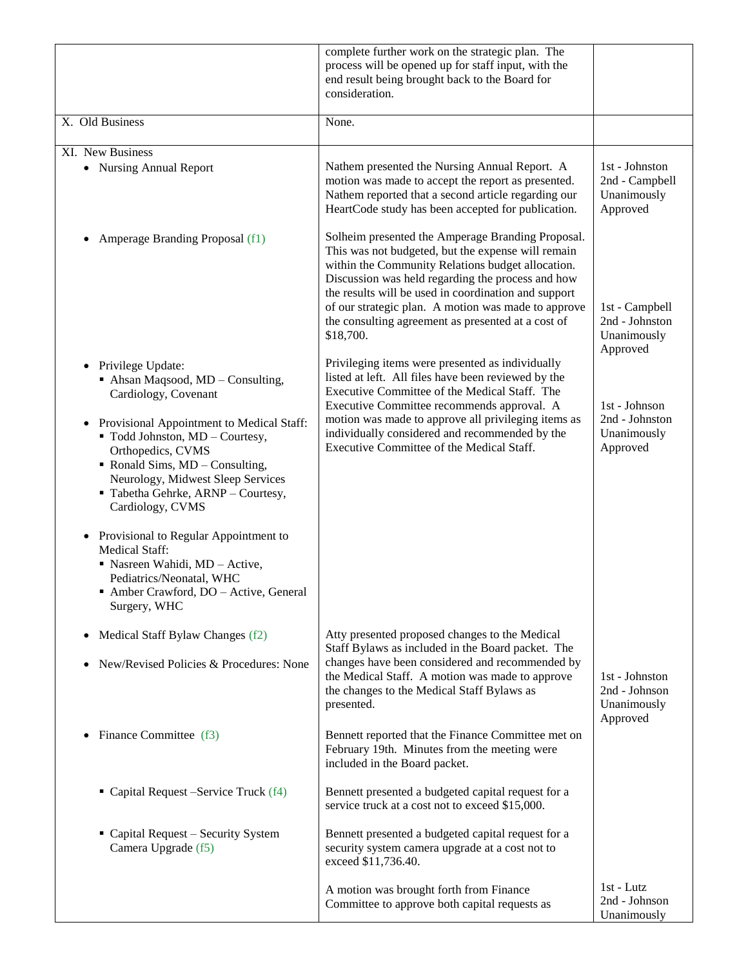|                                                                                                                                                                                                                                   | complete further work on the strategic plan. The<br>process will be opened up for staff input, with the<br>end result being brought back to the Board for<br>consideration.                                                                                                                                                                                                                         |                                                             |
|-----------------------------------------------------------------------------------------------------------------------------------------------------------------------------------------------------------------------------------|-----------------------------------------------------------------------------------------------------------------------------------------------------------------------------------------------------------------------------------------------------------------------------------------------------------------------------------------------------------------------------------------------------|-------------------------------------------------------------|
| X. Old Business                                                                                                                                                                                                                   | None.                                                                                                                                                                                                                                                                                                                                                                                               |                                                             |
| XI. New Business                                                                                                                                                                                                                  |                                                                                                                                                                                                                                                                                                                                                                                                     |                                                             |
| • Nursing Annual Report                                                                                                                                                                                                           | Nathem presented the Nursing Annual Report. A<br>motion was made to accept the report as presented.<br>Nathem reported that a second article regarding our<br>HeartCode study has been accepted for publication.                                                                                                                                                                                    | 1st - Johnston<br>2nd - Campbell<br>Unanimously<br>Approved |
| Amperage Branding Proposal (f1)<br>٠                                                                                                                                                                                              | Solheim presented the Amperage Branding Proposal.<br>This was not budgeted, but the expense will remain<br>within the Community Relations budget allocation.<br>Discussion was held regarding the process and how<br>the results will be used in coordination and support<br>of our strategic plan. A motion was made to approve<br>the consulting agreement as presented at a cost of<br>\$18,700. | 1st - Campbell<br>2nd - Johnston<br>Unanimously<br>Approved |
| Privilege Update:<br>$\bullet$<br>Ahsan Maqsood, MD - Consulting,<br>Cardiology, Covenant                                                                                                                                         | Privileging items were presented as individually<br>listed at left. All files have been reviewed by the<br>Executive Committee of the Medical Staff. The<br>Executive Committee recommends approval. A                                                                                                                                                                                              | 1st - Johnson                                               |
| Provisional Appointment to Medical Staff:<br>" Todd Johnston, MD - Courtesy,<br>Orthopedics, CVMS<br>• Ronald Sims, MD - Consulting,<br>Neurology, Midwest Sleep Services<br>Tabetha Gehrke, ARNP - Courtesy,<br>Cardiology, CVMS | motion was made to approve all privileging items as<br>individually considered and recommended by the<br>Executive Committee of the Medical Staff.                                                                                                                                                                                                                                                  | 2nd - Johnston<br>Unanimously<br>Approved                   |
| Provisional to Regular Appointment to<br><b>Medical Staff:</b><br>Nasreen Wahidi, MD - Active,<br>Pediatrics/Neonatal, WHC<br>Amber Crawford, DO - Active, General<br>Surgery, WHC                                                |                                                                                                                                                                                                                                                                                                                                                                                                     |                                                             |
| Medical Staff Bylaw Changes (f2)<br>٠                                                                                                                                                                                             | Atty presented proposed changes to the Medical<br>Staff Bylaws as included in the Board packet. The                                                                                                                                                                                                                                                                                                 |                                                             |
| New/Revised Policies & Procedures: None                                                                                                                                                                                           | changes have been considered and recommended by<br>the Medical Staff. A motion was made to approve<br>the changes to the Medical Staff Bylaws as<br>presented.                                                                                                                                                                                                                                      | 1st - Johnston<br>2nd - Johnson<br>Unanimously<br>Approved  |
| Finance Committee (f3)                                                                                                                                                                                                            | Bennett reported that the Finance Committee met on<br>February 19th. Minutes from the meeting were<br>included in the Board packet.                                                                                                                                                                                                                                                                 |                                                             |
| • Capital Request – Service Truck (f4)                                                                                                                                                                                            | Bennett presented a budgeted capital request for a<br>service truck at a cost not to exceed \$15,000.                                                                                                                                                                                                                                                                                               |                                                             |
| • Capital Request - Security System<br>Camera Upgrade (f5)                                                                                                                                                                        | Bennett presented a budgeted capital request for a<br>security system camera upgrade at a cost not to<br>exceed \$11,736.40.                                                                                                                                                                                                                                                                        |                                                             |
|                                                                                                                                                                                                                                   | A motion was brought forth from Finance<br>Committee to approve both capital requests as                                                                                                                                                                                                                                                                                                            | $1st$ - Lutz<br>2nd - Johnson<br>Unanimously                |